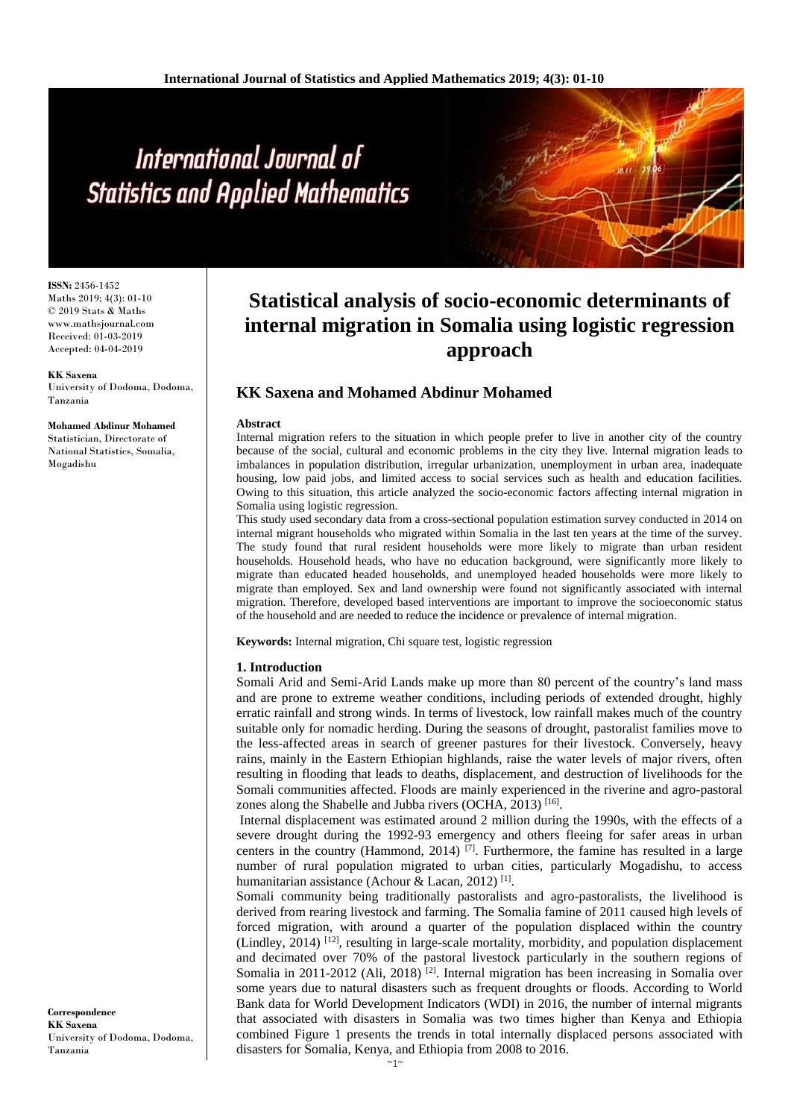**ISSN:** 2456-1452 Maths 2019; 4(3): 01-10 © 2019 Stats & Maths www.mathsjournal.com Received: 01-03-2019 Accepted: 04-04-2019

**KK Saxena** University of Dodoma, Dodoma, Tanzania

**Mohamed Abdinur Mohamed**

Statistician, Directorate of National Statistics, Somalia, Mogadishu

# **Statistical analysis of socio-economic determinants of internal migration in Somalia using logistic regression approach**

# **KK Saxena and Mohamed Abdinur Mohamed**

#### **Abstract**

Internal migration refers to the situation in which people prefer to live in another city of the country because of the social, cultural and economic problems in the city they live. Internal migration leads to imbalances in population distribution, irregular urbanization, unemployment in urban area, inadequate housing, low paid jobs, and limited access to social services such as health and education facilities. Owing to this situation, this article analyzed the socio-economic factors affecting internal migration in Somalia using logistic regression.

This study used secondary data from a cross-sectional population estimation survey conducted in 2014 on internal migrant households who migrated within Somalia in the last ten years at the time of the survey. The study found that rural resident households were more likely to migrate than urban resident households. Household heads, who have no education background, were significantly more likely to migrate than educated headed households, and unemployed headed households were more likely to migrate than employed. Sex and land ownership were found not significantly associated with internal migration. Therefore, developed based interventions are important to improve the socioeconomic status of the household and are needed to reduce the incidence or prevalence of internal migration.

**Keywords:** Internal migration, Chi square test, logistic regression

# **1. Introduction**

Somali Arid and Semi-Arid Lands make up more than 80 percent of the country's land mass and are prone to extreme weather conditions, including periods of extended drought, highly erratic rainfall and strong winds. In terms of livestock, low rainfall makes much of the country suitable only for nomadic herding. During the seasons of drought, pastoralist families move to the less-affected areas in search of greener pastures for their livestock. Conversely, heavy rains, mainly in the Eastern Ethiopian highlands, raise the water levels of major rivers, often resulting in flooding that leads to deaths, displacement, and destruction of livelihoods for the Somali communities affected. Floods are mainly experienced in the riverine and agro-pastoral zones along the Shabelle and Jubba rivers (OCHA, 2013)<sup>[16]</sup>.

Internal displacement was estimated around 2 million during the 1990s, with the effects of a severe drought during the 1992-93 emergency and others fleeing for safer areas in urban centers in the country (Hammond, 2014)  $^{[7]}$ . Furthermore, the famine has resulted in a large number of rural population migrated to urban cities, particularly Mogadishu, to access humanitarian assistance (Achour & Lacan, 2012)<sup>[1]</sup>.

Somali community being traditionally pastoralists and agro-pastoralists, the livelihood is derived from rearing livestock and farming. The Somalia famine of 2011 caused high levels of forced migration, with around a quarter of the population displaced within the country (Lindley, 2014)  $[12]$ , resulting in large-scale mortality, morbidity, and population displacement and decimated over 70% of the pastoral livestock particularly in the southern regions of Somalia in 2011-2012 (Ali, 2018) <sup>[2]</sup>. Internal migration has been increasing in Somalia over some years due to natural disasters such as frequent droughts or floods. According to World Bank data for World Development Indicators (WDI) in 2016, the number of internal migrants that associated with disasters in Somalia was two times higher than Kenya and Ethiopia combined Figure 1 presents the trends in total internally displaced persons associated with disasters for Somalia, Kenya, and Ethiopia from 2008 to 2016.

**Correspondence KK Saxena** University of Dodoma, Dodoma, Tanzania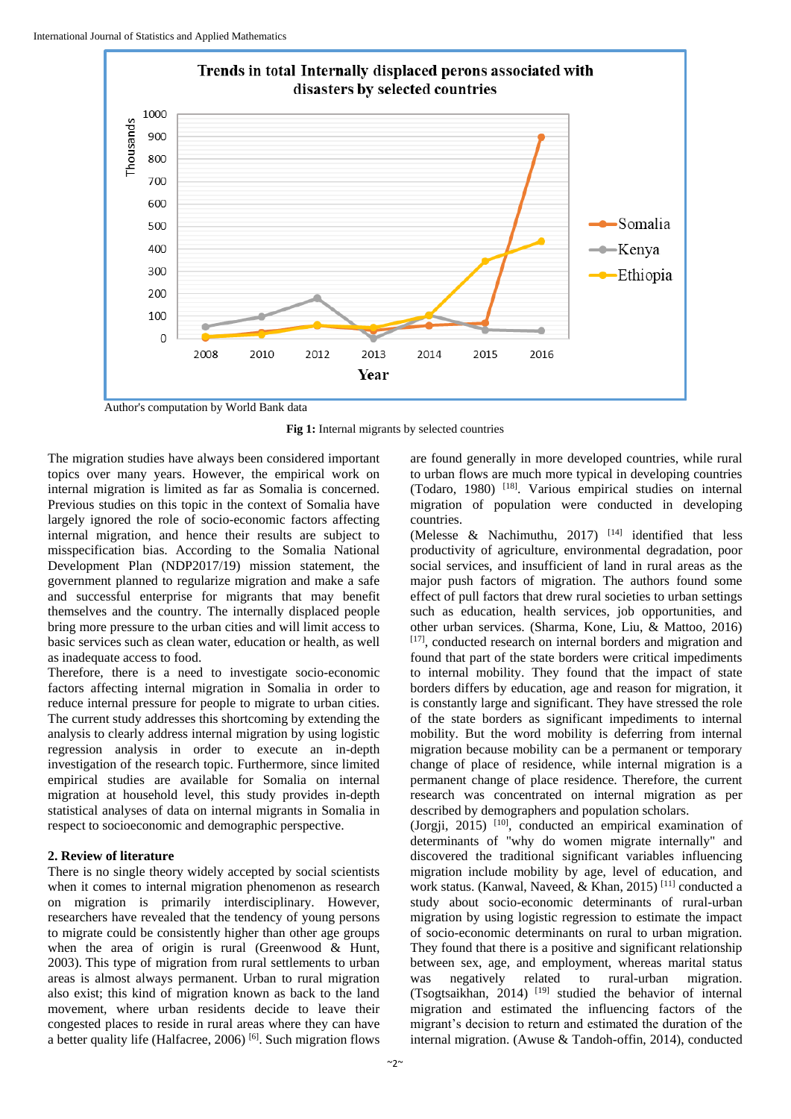

Author's computation by World Bank data

Fig 1: Internal migrants by selected countries

The migration studies have always been considered important topics over many years. However, the empirical work on internal migration is limited as far as Somalia is concerned. Previous studies on this topic in the context of Somalia have largely ignored the role of socio-economic factors affecting internal migration, and hence their results are subject to misspecification bias. According to the Somalia National Development Plan (NDP2017/19) mission statement, the government planned to regularize migration and make a safe and successful enterprise for migrants that may benefit themselves and the country. The internally displaced people bring more pressure to the urban cities and will limit access to basic services such as clean water, education or health, as well as inadequate access to food.

Therefore, there is a need to investigate socio-economic factors affecting internal migration in Somalia in order to reduce internal pressure for people to migrate to urban cities. The current study addresses this shortcoming by extending the analysis to clearly address internal migration by using logistic regression analysis in order to execute an in-depth investigation of the research topic. Furthermore, since limited empirical studies are available for Somalia on internal migration at household level, this study provides in-depth statistical analyses of data on internal migrants in Somalia in respect to socioeconomic and demographic perspective.

#### **2. Review of literature**

There is no single theory widely accepted by social scientists when it comes to internal migration phenomenon as research on migration is primarily interdisciplinary. However, researchers have revealed that the tendency of young persons to migrate could be consistently higher than other age groups when the area of origin is rural (Greenwood & Hunt, 2003). This type of migration from rural settlements to urban areas is almost always permanent. Urban to rural migration also exist; this kind of migration known as back to the land movement, where urban residents decide to leave their congested places to reside in rural areas where they can have a better quality life (Halfacree, 2006) [6]. Such migration flows

are found generally in more developed countries, while rural to urban flows are much more typical in developing countries (Todaro, 1980) [18] . Various empirical studies on internal migration of population were conducted in developing countries.

(Melesse & Nachimuthu, 2017)  $[14]$  identified that less productivity of agriculture, environmental degradation, poor social services, and insufficient of land in rural areas as the major push factors of migration. The authors found some effect of pull factors that drew rural societies to urban settings such as education, health services, job opportunities, and other urban services. (Sharma, Kone, Liu, & Mattoo, 2016) [17], conducted research on internal borders and migration and found that part of the state borders were critical impediments to internal mobility. They found that the impact of state borders differs by education, age and reason for migration, it is constantly large and significant. They have stressed the role of the state borders as significant impediments to internal mobility. But the word mobility is deferring from internal migration because mobility can be a permanent or temporary change of place of residence, while internal migration is a permanent change of place residence. Therefore, the current research was concentrated on internal migration as per described by demographers and population scholars.

(Jorgji, 2015)  $[10]$ , conducted an empirical examination of determinants of "why do women migrate internally" and discovered the traditional significant variables influencing migration include mobility by age, level of education, and work status. (Kanwal, Naveed, & Khan, 2015) [11] conducted a study about socio-economic determinants of rural-urban migration by using logistic regression to estimate the impact of socio-economic determinants on rural to urban migration. They found that there is a positive and significant relationship between sex, age, and employment, whereas marital status was negatively related to rural-urban migration. (Tsogtsaikhan, 2014) [19] studied the behavior of internal migration and estimated the influencing factors of the migrant's decision to return and estimated the duration of the internal migration. (Awuse & Tandoh-offin, 2014), conducted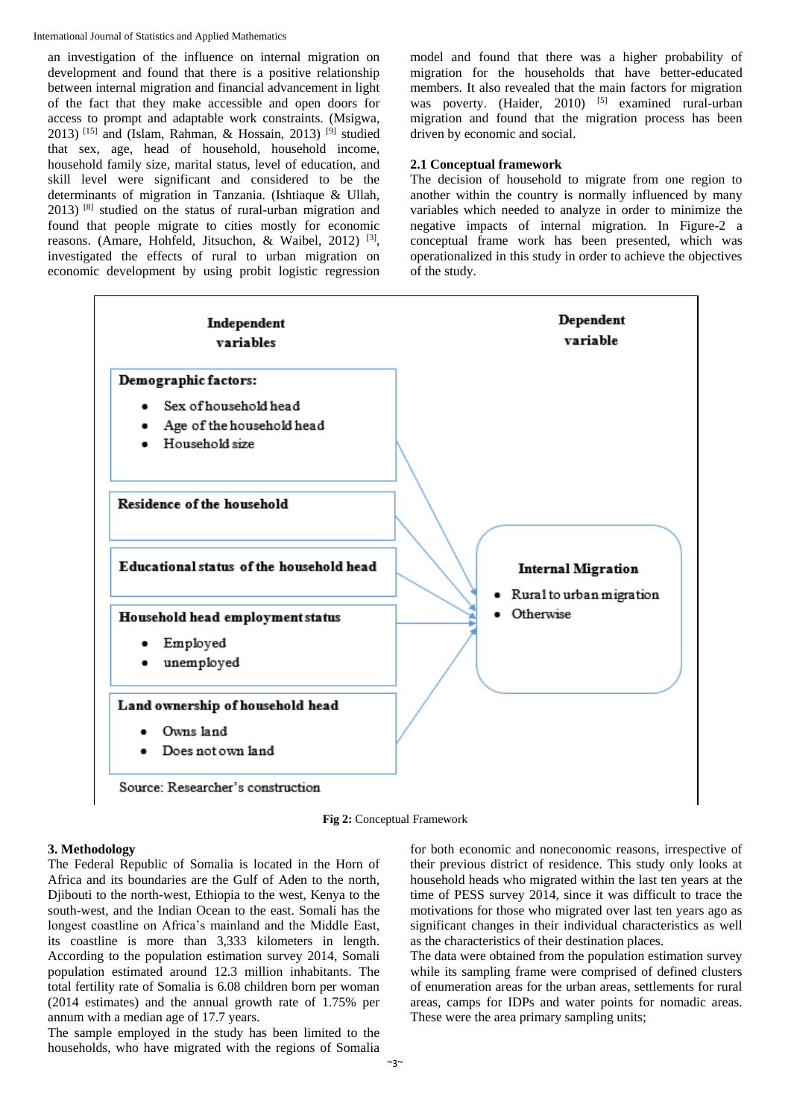an investigation of the influence on internal migration on development and found that there is a positive relationship between internal migration and financial advancement in light of the fact that they make accessible and open doors for access to prompt and adaptable work constraints. (Msigwa, 2013) <sup>[15]</sup> and (Islam, Rahman, & Hossain, 2013) <sup>[9]</sup> studied that sex, age, head of household, household income, household family size, marital status, level of education, and skill level were significant and considered to be the determinants of migration in Tanzania. (Ishtiaque & Ullah,  $2013$ ) <sup>[8]</sup> studied on the status of rural-urban migration and found that people migrate to cities mostly for economic reasons. (Amare, Hohfeld, Jitsuchon, & Waibel, 2012)<sup>[3]</sup>, investigated the effects of rural to urban migration on economic development by using probit logistic regression

model and found that there was a higher probability of migration for the households that have better-educated members. It also revealed that the main factors for migration was poverty. (Haider, 2010) <sup>[5]</sup> examined rural-urban migration and found that the migration process has been driven by economic and social.

# **2.1 Conceptual framework**

The decision of household to migrate from one region to another within the country is normally influenced by many variables which needed to analyze in order to minimize the negative impacts of internal migration. In Figure-2 a conceptual frame work has been presented, which was operationalized in this study in order to achieve the objectives of the study.



**Fig 2:** Conceptual Framework

# **3. Methodology**

The Federal Republic of Somalia is located in the Horn of Africa and its boundaries are the Gulf of Aden to the north, Djibouti to the north-west, Ethiopia to the west, Kenya to the south-west, and the Indian Ocean to the east. Somali has the longest coastline on Africa's mainland and the Middle East, its coastline is more than 3,333 kilometers in length. According to the population estimation survey 2014, Somali population estimated around 12.3 million inhabitants. The total fertility rate of Somalia is 6.08 children born per woman (2014 estimates) and the annual growth rate of 1.75% per annum with a median age of 17.7 years.

The sample employed in the study has been limited to the households, who have migrated with the regions of Somalia

for both economic and noneconomic reasons, irrespective of their previous district of residence. This study only looks at household heads who migrated within the last ten years at the time of PESS survey 2014, since it was difficult to trace the motivations for those who migrated over last ten years ago as significant changes in their individual characteristics as well as the characteristics of their destination places.

The data were obtained from the population estimation survey while its sampling frame were comprised of defined clusters of enumeration areas for the urban areas, settlements for rural areas, camps for IDPs and water points for nomadic areas. These were the area primary sampling units;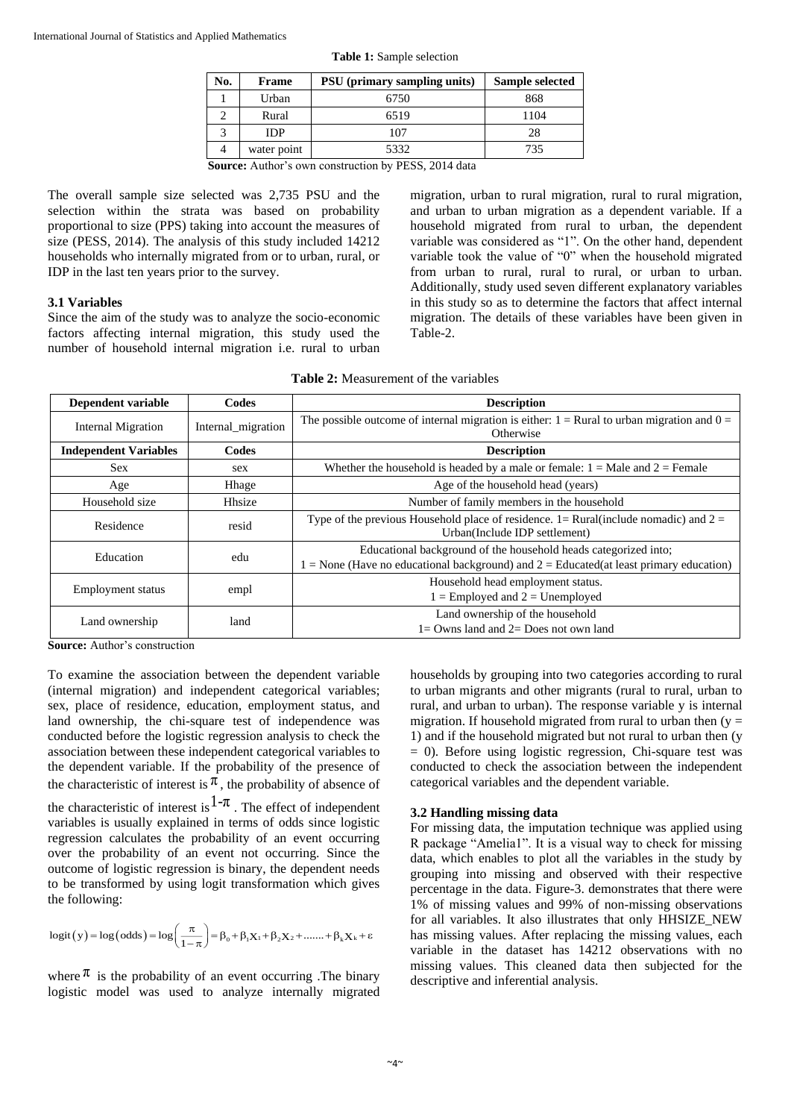| No. | Frame       | PSU (primary sampling units) | Sample selected |
|-----|-------------|------------------------------|-----------------|
|     | Urban       | 6750                         | 868             |
|     | Rural       | 6519                         | 1104            |
|     | <b>IDP</b>  | 107                          | 28              |
|     | water point | 5332                         | 735             |

**Table 1:** Sample selection

**Source:** Author's own construction by PESS, 2014 data

The overall sample size selected was 2,735 PSU and the selection within the strata was based on probability proportional to size (PPS) taking into account the measures of size (PESS, 2014). The analysis of this study included 14212 households who internally migrated from or to urban, rural, or IDP in the last ten years prior to the survey.

#### **3.1 Variables**

Since the aim of the study was to analyze the socio-economic factors affecting internal migration, this study used the number of household internal migration i.e. rural to urban migration, urban to rural migration, rural to rural migration, and urban to urban migration as a dependent variable. If a household migrated from rural to urban, the dependent variable was considered as "1". On the other hand, dependent variable took the value of "0" when the household migrated from urban to rural, rural to rural, or urban to urban. Additionally, study used seven different explanatory variables in this study so as to determine the factors that affect internal migration. The details of these variables have been given in Table-2.

| Dependent variable             | Codes              | <b>Description</b>                                                                                                                                            |
|--------------------------------|--------------------|---------------------------------------------------------------------------------------------------------------------------------------------------------------|
| <b>Internal Migration</b>      | Internal migration | The possible outcome of internal migration is either: $1 =$ Rural to urban migration and $0 =$<br>Otherwise                                                   |
| <b>Independent Variables</b>   | Codes              | <b>Description</b>                                                                                                                                            |
| <b>Sex</b>                     | sex                | Whether the household is headed by a male or female: $1 =$ Male and $2 =$ Female                                                                              |
| Age                            | Hhage              | Age of the household head (years)                                                                                                                             |
| Household size                 | Hhsize             | Number of family members in the household                                                                                                                     |
| Residence                      | resid              | Type of the previous Household place of residence. $1 = \text{Rural}(\text{include nonadic})$ and $2 =$<br>Urban(Include IDP settlement)                      |
| Education                      | edu                | Educational background of the household heads categorized into:<br>$1 =$ None (Have no educational background) and $2 =$ Educated(at least primary education) |
| Employment status              | empl               | Household head employment status.<br>$1 =$ Employed and $2 =$ Unemployed                                                                                      |
| Land ownership<br>$\mathbf{C}$ | land               | Land ownership of the household<br>$l = Owns$ land and $2 = Does not own land$                                                                                |

**Table 2:** Measurement of the variables

**Source:** Author's construction

To examine the association between the dependent variable (internal migration) and independent categorical variables; sex, place of residence, education, employment status, and land ownership, the chi-square test of independence was conducted before the logistic regression analysis to check the association between these independent categorical variables to the dependent variable. If the probability of the presence of the characteristic of interest is  $\pi$ , the probability of absence of the characteristic of interest is  $1-\pi$ . The effect of independent variables is usually explained in terms of odds since logistic regression calculates the probability of an event occurring over the probability of an event not occurring. Since the outcome of logistic regression is binary, the dependent needs to be transformed by using logit transformation which gives the following:

$$
logit(y) = log(odds) = log(\frac{\pi}{1-\pi}) = \beta_0 + \beta_1 X_1 + \beta_2 X_2 + \dots + \beta_k X_k + \varepsilon
$$

where  $\pi$  is the probability of an event occurring. The binary logistic model was used to analyze internally migrated

households by grouping into two categories according to rural to urban migrants and other migrants (rural to rural, urban to rural, and urban to urban). The response variable y is internal migration. If household migrated from rural to urban then  $(y =$ 1) and if the household migrated but not rural to urban then (y  $= 0$ ). Before using logistic regression, Chi-square test was conducted to check the association between the independent categorical variables and the dependent variable.

# **3.2 Handling missing data**

For missing data, the imputation technique was applied using R package "Amelia1". It is a visual way to check for missing data, which enables to plot all the variables in the study by grouping into missing and observed with their respective percentage in the data. Figure-3. demonstrates that there were 1% of missing values and 99% of non-missing observations for all variables. It also illustrates that only HHSIZE\_NEW has missing values. After replacing the missing values, each variable in the dataset has 14212 observations with no missing values. This cleaned data then subjected for the descriptive and inferential analysis.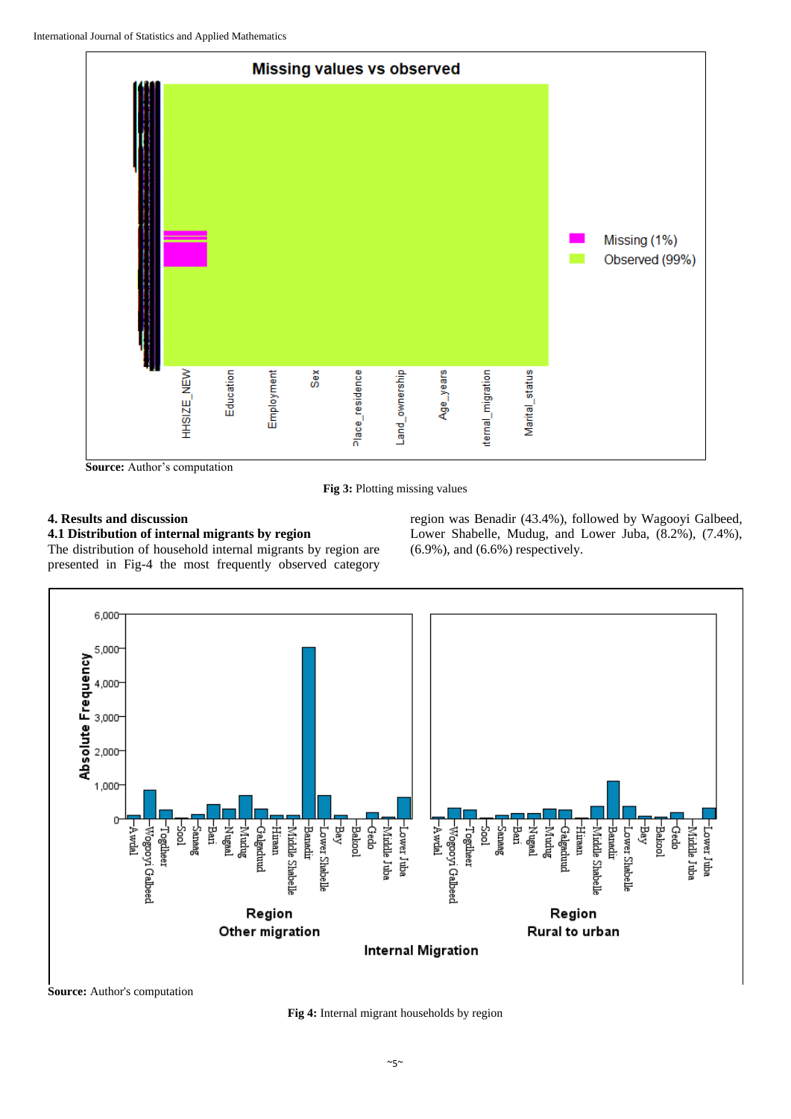![](_page_4_Figure_1.jpeg)

**Source:** Author's computation

**Fig 3:** Plotting missing values

# **4. Results and discussion**

# **4.1 Distribution of internal migrants by region**

The distribution of household internal migrants by region are presented in Fig-4 the most frequently observed category region was Benadir (43.4%), followed by Wagooyi Galbeed, Lower Shabelle, Mudug, and Lower Juba, (8.2%), (7.4%), (6.9%), and (6.6%) respectively.

![](_page_4_Figure_8.jpeg)

**Fig 4:** Internal migrant households by region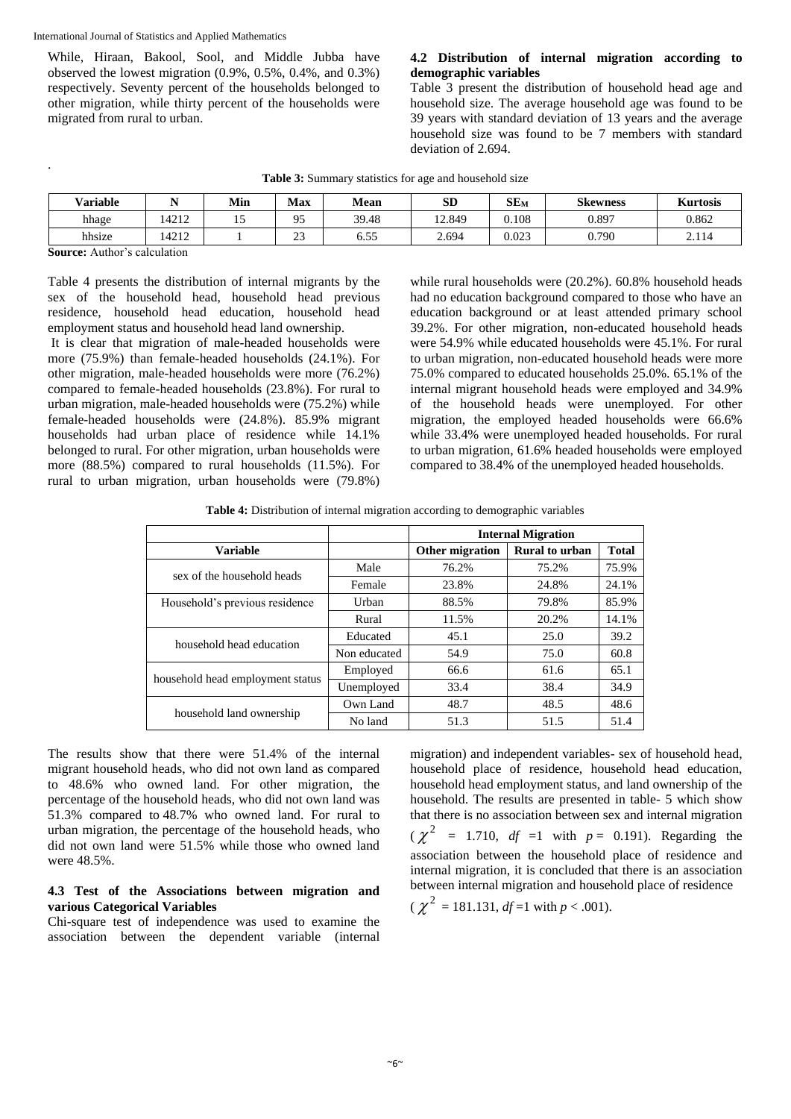While, Hiraan, Bakool, Sool, and Middle Jubba have observed the lowest migration (0.9%, 0.5%, 0.4%, and 0.3%) respectively. Seventy percent of the households belonged to other migration, while thirty percent of the households were migrated from rural to urban.

# **4.2 Distribution of internal migration according to demographic variables**

Table 3 present the distribution of household head age and household size. The average household age was found to be 39 years with standard deviation of 13 years and the average household size was found to be 7 members with standard deviation of 2.694.

| <b>Variable</b> |      | Min | <b>Max</b>   | Mean  | <b>SD</b> | $SE_{M}$ | <b>Skewness</b> | <b>Kurtosis</b> |
|-----------------|------|-----|--------------|-------|-----------|----------|-----------------|-----------------|
| hhage           | 4212 |     | 05<br>ر ر    | 39.48 | 12.849    | 0.108    | 0.897           | 0.862           |
| hhsize          | 4212 |     | $\sim$<br>رے | 6.55  | 2.694     | 0.023    | 0.790           | 2.114           |

**Source:** Author's calculation

.

Table 4 presents the distribution of internal migrants by the sex of the household head, household head previous residence, household head education, household head employment status and household head land ownership.

It is clear that migration of male-headed households were more (75.9%) than female-headed households (24.1%). For other migration, male-headed households were more (76.2%) compared to female-headed households (23.8%). For rural to urban migration, male-headed households were (75.2%) while female-headed households were (24.8%). 85.9% migrant households had urban place of residence while 14.1% belonged to rural. For other migration, urban households were more (88.5%) compared to rural households (11.5%). For rural to urban migration, urban households were (79.8%)

while rural households were (20.2%). 60.8% household heads had no education background compared to those who have an education background or at least attended primary school 39.2%. For other migration, non-educated household heads were 54.9% while educated households were 45.1%. For rural to urban migration, non-educated household heads were more 75.0% compared to educated households 25.0%. 65.1% of the internal migrant household heads were employed and 34.9% of the household heads were unemployed. For other migration, the employed headed households were 66.6% while 33.4% were unemployed headed households. For rural to urban migration, 61.6% headed households were employed compared to 38.4% of the unemployed headed households.

**Table 4:** Distribution of internal migration according to demographic variables

|                                  |              | <b>Internal Migration</b> |                |              |  |  |
|----------------------------------|--------------|---------------------------|----------------|--------------|--|--|
| <b>Variable</b>                  |              | Other migration           | Rural to urban | <b>Total</b> |  |  |
| sex of the household heads       | Male         | 76.2%                     | 75.2%          | 75.9%        |  |  |
|                                  | Female       | 23.8%                     | 24.8%          | 24.1%        |  |  |
| Household's previous residence   | Urban        | 88.5%                     | 79.8%          | 85.9%        |  |  |
|                                  | Rural        | 11.5%                     | 20.2%          | 14.1%        |  |  |
| household head education         | Educated     | 45.1                      | 25.0           | 39.2         |  |  |
|                                  | Non educated | 54.9                      | 75.0           | 60.8         |  |  |
|                                  | Employed     | 66.6                      | 61.6           | 65.1         |  |  |
| household head employment status | Unemployed   | 33.4                      | 38.4           | 34.9         |  |  |
|                                  | Own Land     | 48.7                      | 48.5           | 48.6         |  |  |
| household land ownership         | No land      | 51.3                      | 51.5           | 51.4         |  |  |

The results show that there were 51.4% of the internal migrant household heads, who did not own land as compared to 48.6% who owned land. For other migration, the percentage of the household heads, who did not own land was 51.3% compared to 48.7% who owned land. For rural to urban migration, the percentage of the household heads, who did not own land were 51.5% while those who owned land were 48.5%.

# **4.3 Test of the Associations between migration and various Categorical Variables**

Chi-square test of independence was used to examine the association between the dependent variable (internal migration) and independent variables- sex of household head, household place of residence, household head education, household head employment status, and land ownership of the household. The results are presented in table- 5 which show that there is no association between sex and internal migration

 $(\chi^2$  = 1.710, *df* =1 with *p* = 0.191). Regarding the association between the household place of residence and internal migration, it is concluded that there is an association between internal migration and household place of residence

$$
(\chi^2 = 181.131, df = 1 \text{ with } p < .001).
$$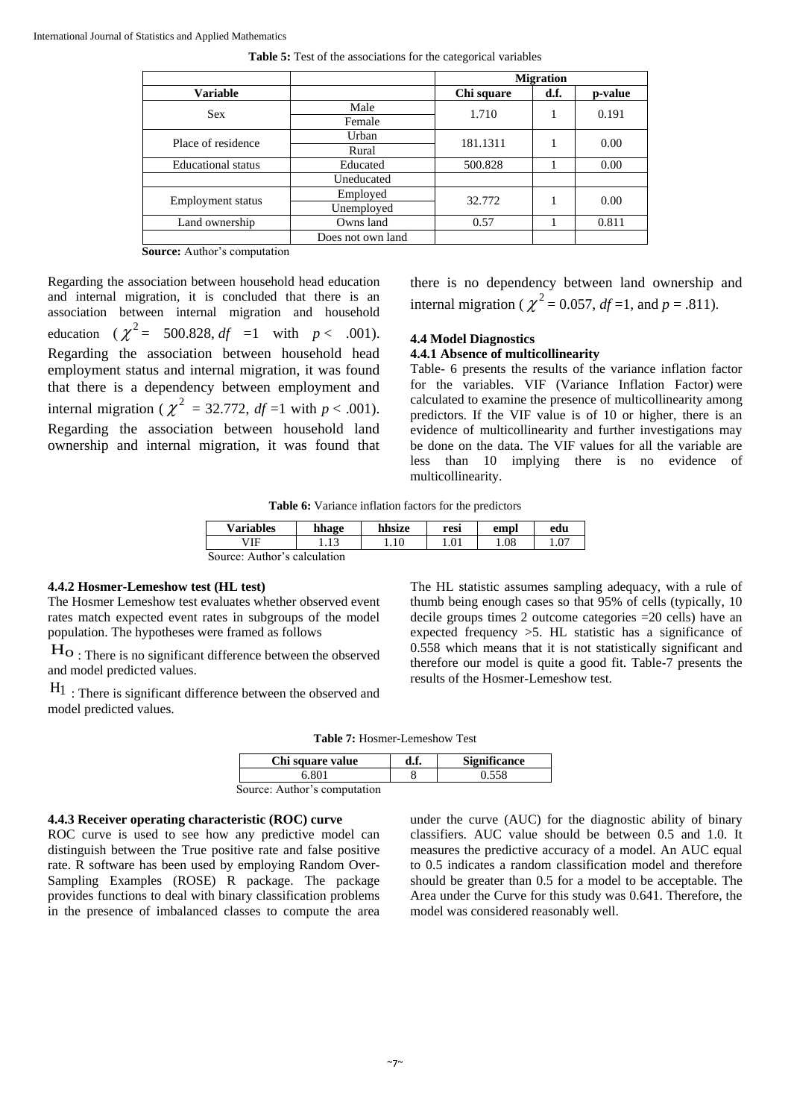|                           |                   | <b>Migration</b> |      |         |
|---------------------------|-------------------|------------------|------|---------|
| <b>Variable</b>           |                   | Chi square       | d.f. | p-value |
| <b>Sex</b>                | Male              | 1.710            |      | 0.191   |
|                           | Female            |                  |      |         |
| Place of residence        | Urban             | 181.1311         |      | 0.00    |
|                           | Rural             |                  |      |         |
| <b>Educational</b> status | Educated          | 500.828          |      | 0.00    |
|                           | Uneducated        |                  |      |         |
|                           | Employed          | 32.772           |      | 0.00    |
| Employment status         | Unemployed        |                  |      |         |
| Land ownership            | Owns land         | 0.57             |      | 0.811   |
|                           | Does not own land |                  |      |         |

**Table 5:** Test of the associations for the categorical variables

**Source:** Author's computation

Regarding the association between household head education and internal migration, it is concluded that there is an association between internal migration and household education  $(\chi^2 = 500.828, df = 1 \text{ with } p < .001).$ Regarding the association between household head employment status and internal migration, it was found that there is a dependency between employment and internal migration ( $\chi^2$  = 32.772, *df* =1 with *p* < .001). Regarding the association between household land ownership and internal migration, it was found that

there is no dependency between land ownership and internal migration ( $\chi^2$  = 0.057, *df* =1, and *p* = .811).

# **4.4 Model Diagnostics**

# **4.4.1 Absence of multicollinearity**

Table- 6 presents the results of the variance inflation factor for the variables. VIF (Variance Inflation Factor) were calculated to examine the presence of multicollinearity among predictors. If the VIF value is of 10 or higher, there is an evidence of multicollinearity and further investigations may be done on the data. The VIF values for all the variable are less than 10 implying there is no evidence of multicollinearity.

**Table 6:** Variance inflation factors for the predictors

| <b>Variables</b>             | hhage | hhsize | resi | empl | edu  |  |
|------------------------------|-------|--------|------|------|------|--|
| VIF                          |       |        |      | 1.08 | 1.07 |  |
| Source: Author's calculation |       |        |      |      |      |  |

# **4.4.2 Hosmer-Lemeshow test (HL test)**

The Hosmer Lemeshow test evaluates whether observed event rates match expected event rates in subgroups of the model population. The hypotheses were framed as follows

 $H_0$ : There is no significant difference between the observed and model predicted values.

 $H_1$ : There is significant difference between the observed and model predicted values.

The HL statistic assumes sampling adequacy, with a rule of thumb being enough cases so that 95% of cells (typically, 10 decile groups times 2 outcome categories =20 cells) have an expected frequency >5. HL statistic has a significance of 0.558 which means that it is not statistically significant and therefore our model is quite a good fit. Table-7 presents the results of the Hosmer-Lemeshow test.

**Table 7:** Hosmer-Lemeshow Test

| Chi square value             | d.f. | <b>Significance</b> |
|------------------------------|------|---------------------|
| 6.801                        |      | 0.558               |
| Source: Author's computation |      |                     |

#### **4.4.3 Receiver operating characteristic (ROC) curve**

ROC curve is used to see how any predictive model can distinguish between the True positive rate and false positive rate. R software has been used by employing Random Over-Sampling Examples (ROSE) R package. The package provides functions to deal with binary classification problems in the presence of imbalanced classes to compute the area

under the curve (AUC) for the diagnostic ability of binary classifiers. AUC value should be between 0.5 and 1.0. It measures the predictive accuracy of a model. An AUC equal to 0.5 indicates a random classification model and therefore should be greater than 0.5 for a model to be acceptable. The Area under the Curve for this study was 0.641. Therefore, the model was considered reasonably well.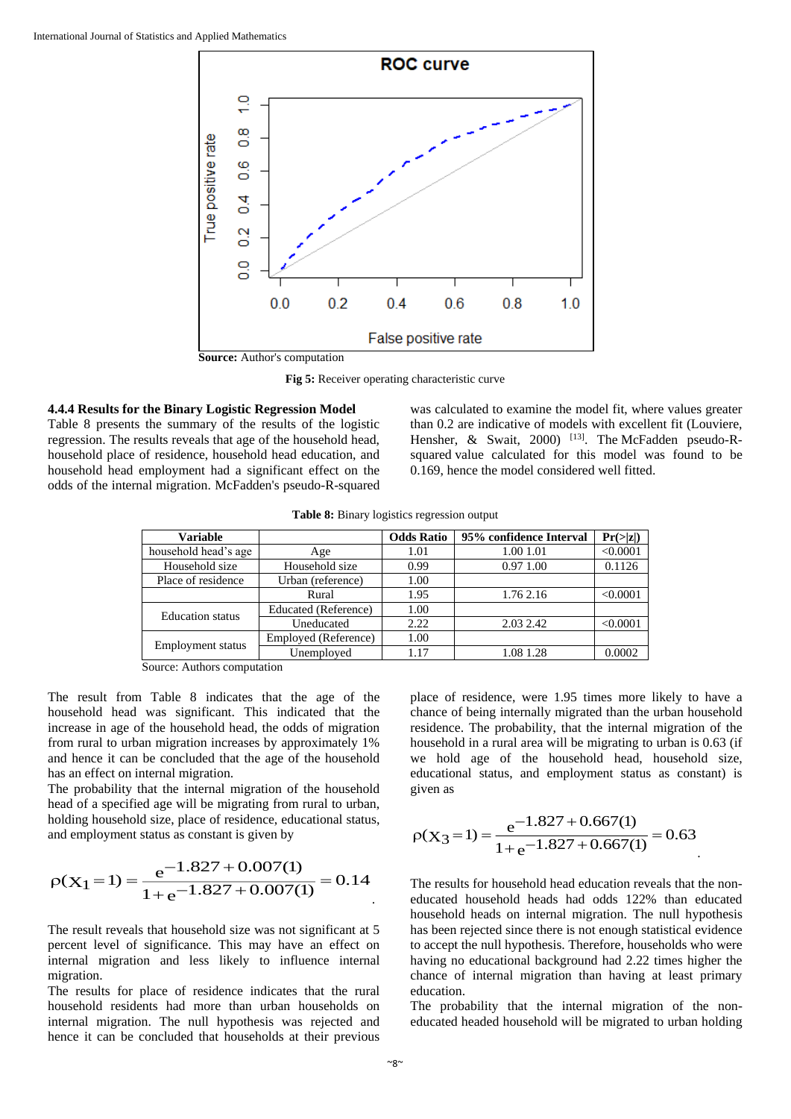![](_page_7_Figure_1.jpeg)

**Fig 5:** Receiver operating characteristic curve

#### **4.4.4 Results for the Binary Logistic Regression Model**

Table 8 presents the summary of the results of the logistic regression. The results reveals that age of the household head, household place of residence, household head education, and household head employment had a significant effect on the odds of the internal migration. McFadden's pseudo-R-squared

was calculated to examine the model fit, where values greater than 0.2 are indicative of models with excellent fit (Louviere, Hensher, & Swait, 2000) <sup>[13]</sup>. The McFadden pseudo-Rsquared value calculated for this model was found to be 0.169, hence the model considered well fitted.

**Table 8:** Binary logistics regression output

| <b>Variable</b>          |                      | <b>Odds Ratio</b> | 95% confidence Interval | Pr(> z ) |
|--------------------------|----------------------|-------------------|-------------------------|----------|
| household head's age     | Age                  | 1.01              | 1.00 1.01               | < 0.0001 |
| Household size           | Household size       | 0.99              | 0.97 1.00               | 0.1126   |
| Place of residence       | Urban (reference)    | 1.00              |                         |          |
|                          | Rural                | 1.95              | 1.76 2.16               | < 0.0001 |
| <b>Education</b> status  | Educated (Reference) | 1.00              |                         |          |
|                          | Uneducated           | 2.22              | 2.03 2.42               | < 0.0001 |
|                          | Employed (Reference) | 1.00              |                         |          |
| <b>Employment</b> status | Unemployed           | 1.17              | 1.08 1.28               | 0.0002   |

Source: Authors computation

The result from Table 8 indicates that the age of the household head was significant. This indicated that the increase in age of the household head, the odds of migration from rural to urban migration increases by approximately 1% and hence it can be concluded that the age of the household has an effect on internal migration.

The probability that the internal migration of the household head of a specified age will be migrating from rural to urban, holding household size, place of residence, educational status, and employment status as constant is given by

$$
\rho(X_1 = 1) = \frac{e^{-1.827 + 0.007(1)}}{1 + e^{-1.827 + 0.007(1)}} = 0.14
$$

The result reveals that household size was not significant at 5 percent level of significance. This may have an effect on internal migration and less likely to influence internal migration.

The results for place of residence indicates that the rural household residents had more than urban households on internal migration. The null hypothesis was rejected and hence it can be concluded that households at their previous

place of residence, were 1.95 times more likely to have a chance of being internally migrated than the urban household residence. The probability, that the internal migration of the household in a rural area will be migrating to urban is 0.63 (if we hold age of the household head, household size, educational status, and employment status as constant) is given as

$$
\rho(X_3 = 1) = \frac{e^{-1.827 + 0.667(1)}}{1 + e^{-1.827 + 0.667(1)}} = 0.63
$$

The results for household head education reveals that the noneducated household heads had odds 122% than educated household heads on internal migration. The null hypothesis has been rejected since there is not enough statistical evidence to accept the null hypothesis. Therefore, households who were having no educational background had 2.22 times higher the chance of internal migration than having at least primary education.

The probability that the internal migration of the noneducated headed household will be migrated to urban holding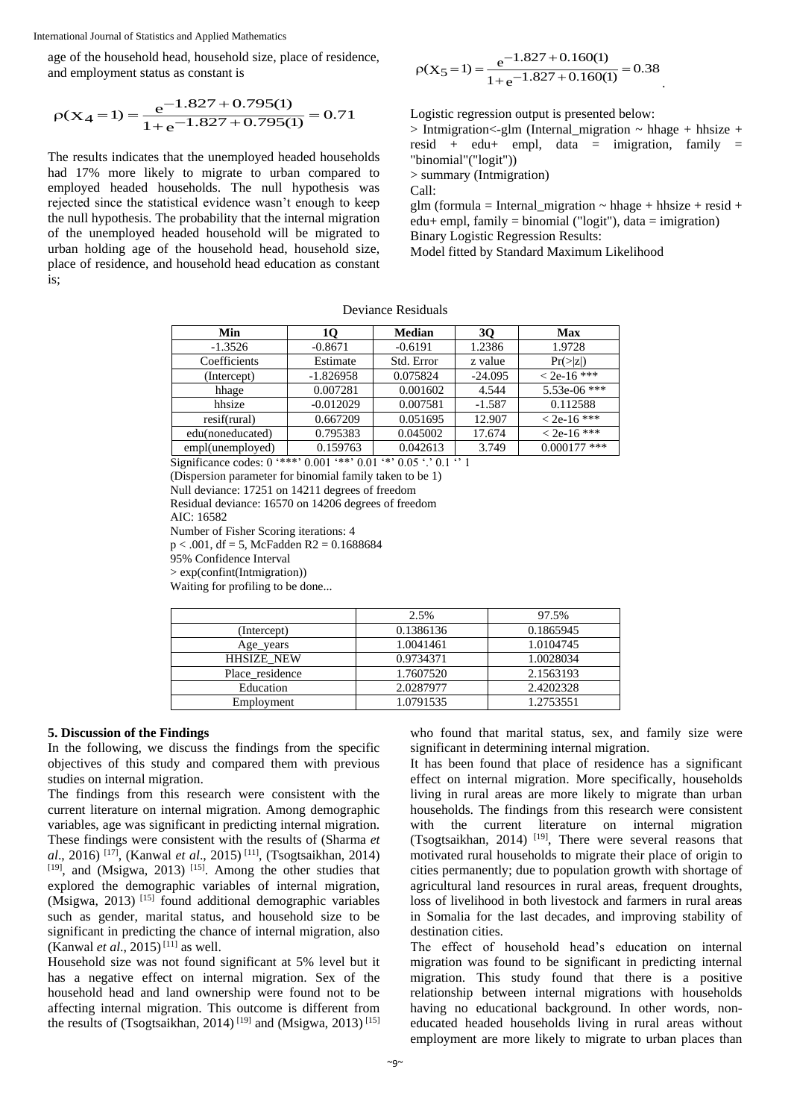age of the household head, household size, place of residence, and employment status as constant is

$$
\rho(X_4 = 1) = \frac{e^{-1.827 + 0.795(1)}}{1 + e^{-1.827 + 0.795(1)}} = 0.71
$$

The results indicates that the unemployed headed households had 17% more likely to migrate to urban compared to employed headed households. The null hypothesis was rejected since the statistical evidence wasn't enough to keep the null hypothesis. The probability that the internal migration of the unemployed headed household will be migrated to urban holding age of the household head, household size, place of residence, and household head education as constant is;

$$
\rho(X_5 = 1) = \frac{e^{-1.827 + 0.160(1)}}{1 + e^{-1.827 + 0.160(1)}} = 0.38
$$

Logistic regression output is presented below:

 $>$  Intmigration  $\lt$ -glm (Internal migration  $\lt$  hhage + hhsize + resid + edu+ empl, data = imigration, family = "binomial"("logit")) > summary (Intmigration)

Call:

glm (formula = Internal\_migration  $\sim$  hhage + hhsize + resid +  $edu+$  empl, family = binomial ("logit"), data = imigration) Binary Logistic Regression Results:

Model fitted by Standard Maximum Likelihood

Deviance Residuals

| 10          | <b>Median</b> | 30        | Max            |
|-------------|---------------|-----------|----------------|
| $-0.8671$   | $-0.6191$     | 1.2386    | 1.9728         |
| Estimate    | Std. Error    | z value   | Pr(> z )       |
| $-1.826958$ | 0.075824      | $-24.095$ | $<$ 2e-16 ***  |
| 0.007281    | 0.001602      | 4.544     | 5.53e-06 ***   |
| $-0.012029$ | 0.007581      | $-1.587$  | 0.112588       |
| 0.667209    | 0.051695      | 12.907    | $< 2e-16$ ***  |
| 0.795383    | 0.045002      | 17.674    | $<$ 2e-16 ***  |
| 0.159763    | 0.042613      | 3.749     | $0.000177$ *** |
|             |               |           |                |

Significance codes: 0 '\*\*\*' 0.001 '\*\*' 0.01 '\*' 0.05 '.' 0.1 '' 1

(Dispersion parameter for binomial family taken to be 1)

Null deviance: 17251 on 14211 degrees of freedom Residual deviance: 16570 on 14206 degrees of freedom

AIC: 16582

Number of Fisher Scoring iterations: 4  $p < .001$ , df = 5, McFadden R2 = 0.1688684

95% Confidence Interval

> exp(confint(Intmigration))

Waiting for profiling to be done...

|                   | 2.5%      | 97.5%     |
|-------------------|-----------|-----------|
| (Intercept)       | 0.1386136 | 0.1865945 |
| Age_years         | 1.0041461 | 1.0104745 |
| <b>HHSIZE NEW</b> | 0.9734371 | 1.0028034 |
| Place residence   | 1.7607520 | 2.1563193 |
| Education         | 2.0287977 | 2.4202328 |
| Employment        | 1.0791535 | 1.2753551 |

# **5. Discussion of the Findings**

In the following, we discuss the findings from the specific objectives of this study and compared them with previous studies on internal migration.

The findings from this research were consistent with the current literature on internal migration. Among demographic variables, age was significant in predicting internal migration. These findings were consistent with the results of (Sharma *et al*., 2016) [17], (Kanwal *et al*., 2015) [11], (Tsogtsaikhan, 2014) [19], and (Msigwa, 2013) [15]. Among the other studies that explored the demographic variables of internal migration, (Msigwa, 2013)  $^{[15]}$  found additional demographic variables such as gender, marital status, and household size to be significant in predicting the chance of internal migration, also (Kanwal *et al.*, 2015)<sup>[11]</sup> as well.

Household size was not found significant at 5% level but it has a negative effect on internal migration. Sex of the household head and land ownership were found not to be affecting internal migration. This outcome is different from the results of (Tsogtsaikhan, 2014)<sup>[19]</sup> and (Msigwa, 2013)<sup>[15]</sup>

who found that marital status, sex, and family size were significant in determining internal migration.

It has been found that place of residence has a significant effect on internal migration. More specifically, households living in rural areas are more likely to migrate than urban households. The findings from this research were consistent with the current literature on internal migration (Tsogtsaikhan, 2014)  $[19]$ . There were several reasons that motivated rural households to migrate their place of origin to cities permanently; due to population growth with shortage of agricultural land resources in rural areas, frequent droughts, loss of livelihood in both livestock and farmers in rural areas in Somalia for the last decades, and improving stability of destination cities.

The effect of household head's education on internal migration was found to be significant in predicting internal migration. This study found that there is a positive relationship between internal migrations with households having no educational background. In other words, noneducated headed households living in rural areas without employment are more likely to migrate to urban places than